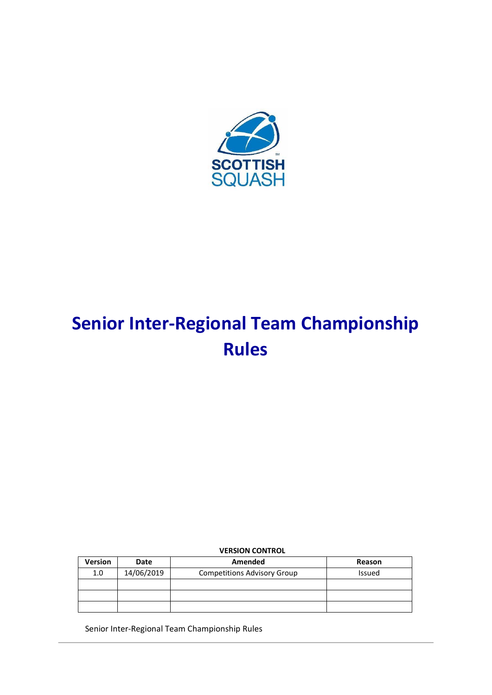

# **Senior Inter-Regional Team Championship Rules**

# **VERSION CONTROL**

| <b>Version</b> | <b>Date</b> | Amended                            | Reason        |
|----------------|-------------|------------------------------------|---------------|
| 1.0            | 14/06/2019  | <b>Competitions Advisory Group</b> | <b>Issued</b> |
|                |             |                                    |               |
|                |             |                                    |               |
|                |             |                                    |               |

Senior Inter-Regional Team Championship Rules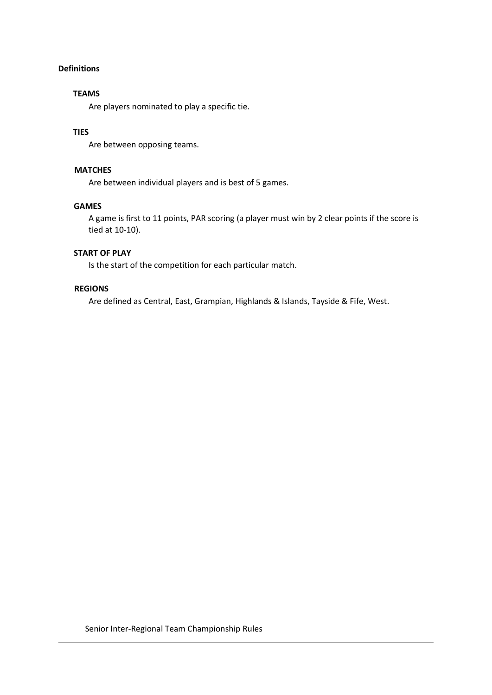# **Definitions**

#### **TEAMS**

Are players nominated to play a specific tie.

# **TIES**

Are between opposing teams.

#### **MATCHES**

Are between individual players and is best of 5 games.

#### **GAMES**

A game is first to 11 points, PAR scoring (a player must win by 2 clear points if the score is tied at 10-10).

#### **START OF PLAY**

Is the start of the competition for each particular match.

# **REGIONS**

Are defined as Central, East, Grampian, Highlands & Islands, Tayside & Fife, West.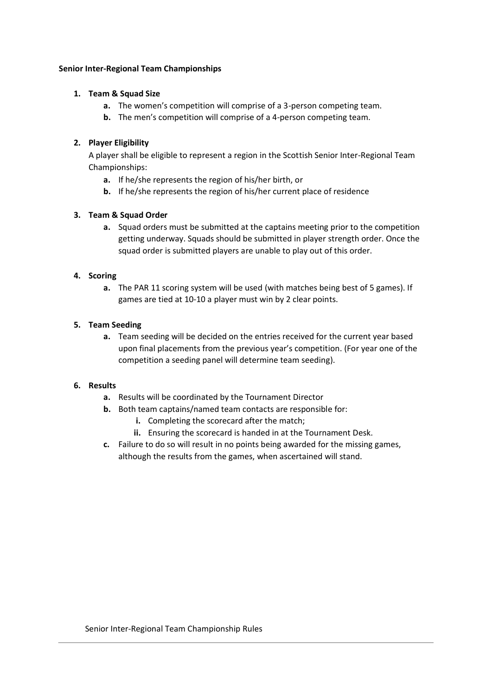#### **Senior Inter-Regional Team Championships**

# **1. Team & Squad Size**

- **a.** The women's competition will comprise of a 3-person competing team.
- **b.** The men's competition will comprise of a 4-person competing team.

# **2. Player Eligibility**

A player shall be eligible to represent a region in the Scottish Senior Inter-Regional Team Championships:

- **a.** If he/she represents the region of his/her birth, or
- **b.** If he/she represents the region of his/her current place of residence

# **3. Team & Squad Order**

**a.** Squad orders must be submitted at the captains meeting prior to the competition getting underway. Squads should be submitted in player strength order. Once the squad order is submitted players are unable to play out of this order.

# **4. Scoring**

**a.** The PAR 11 scoring system will be used (with matches being best of 5 games). If games are tied at 10-10 a player must win by 2 clear points.

# **5. Team Seeding**

**a.** Team seeding will be decided on the entries received for the current year based upon final placements from the previous year's competition. (For year one of the competition a seeding panel will determine team seeding).

#### **6. Results**

- **a.** Results will be coordinated by the Tournament Director
- **b.** Both team captains/named team contacts are responsible for:
	- **i.** Completing the scorecard after the match;
	- **ii.** Ensuring the scorecard is handed in at the Tournament Desk.
- **c.** Failure to do so will result in no points being awarded for the missing games, although the results from the games, when ascertained will stand.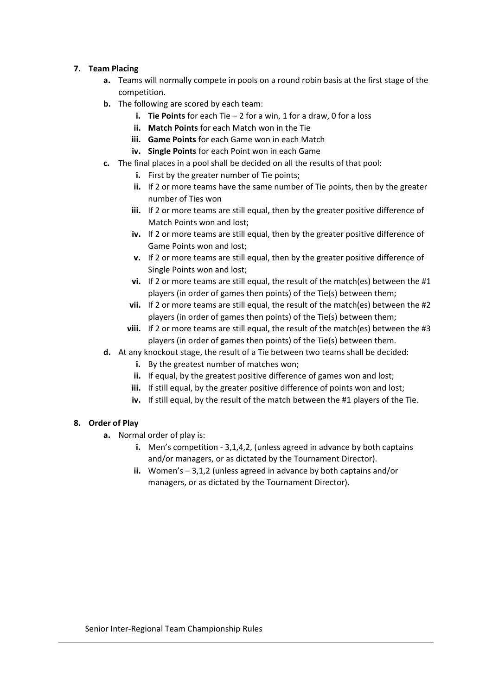# **7. Team Placing**

- **a.** Teams will normally compete in pools on a round robin basis at the first stage of the competition.
- **b.** The following are scored by each team:
	- **i. Tie Points** for each Tie 2 for a win, 1 for a draw, 0 for a loss
	- **ii. Match Points** for each Match won in the Tie
	- **iii. Game Points** for each Game won in each Match
	- **iv. Single Points** for each Point won in each Game
- **c.** The final places in a pool shall be decided on all the results of that pool:
	- **i.** First by the greater number of Tie points;
	- **ii.** If 2 or more teams have the same number of Tie points, then by the greater number of Ties won
	- **iii.** If 2 or more teams are still equal, then by the greater positive difference of Match Points won and lost;
	- **iv.** If 2 or more teams are still equal, then by the greater positive difference of Game Points won and lost;
	- **v.** If 2 or more teams are still equal, then by the greater positive difference of Single Points won and lost;
	- **vi.** If 2 or more teams are still equal, the result of the match(es) between the #1 players (in order of games then points) of the Tie(s) between them;
	- **vii.** If 2 or more teams are still equal, the result of the match(es) between the #2 players (in order of games then points) of the Tie(s) between them;
	- **viii.** If 2 or more teams are still equal, the result of the match(es) between the #3 players (in order of games then points) of the Tie(s) between them.
- **d.** At any knockout stage, the result of a Tie between two teams shall be decided:
	- **i.** By the greatest number of matches won;
	- **ii.** If equal, by the greatest positive difference of games won and lost:
	- **iii.** If still equal, by the greater positive difference of points won and lost;
	- **iv.** If still equal, by the result of the match between the #1 players of the Tie.

# **8. Order of Play**

- **a.** Normal order of play is:
	- **i.** Men's competition 3,1,4,2, (unless agreed in advance by both captains and/or managers, or as dictated by the Tournament Director).
	- **ii.** Women's 3,1,2 (unless agreed in advance by both captains and/or managers, or as dictated by the Tournament Director).